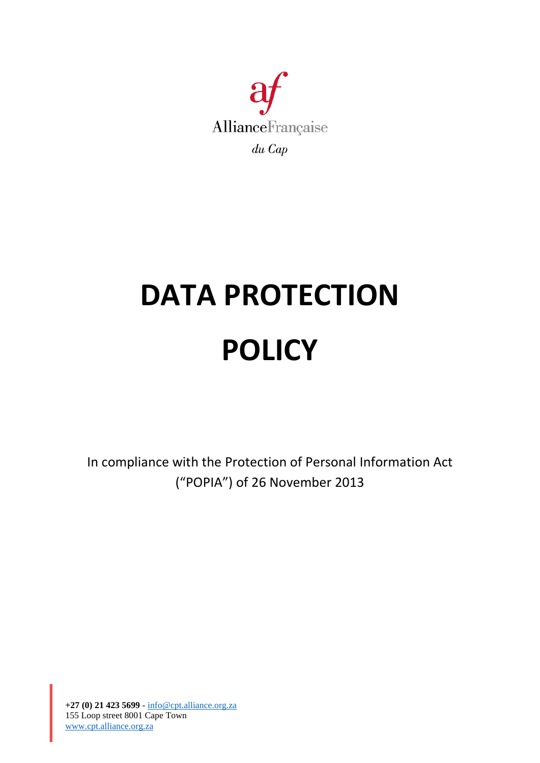

# **DATA PROTECTION POLICY**

In compliance with the Protection of Personal Information Act ("POPIA") of 26 November 2013

**+27 (0) 21 423 5699** - [info@cpt.alliance.org.za](mailto:info@cpt.alliance.org.za) 155 Loop street 8001 Cape Town [www.cpt.alliance.org.za](http://www.cpt.alliance.org.za/)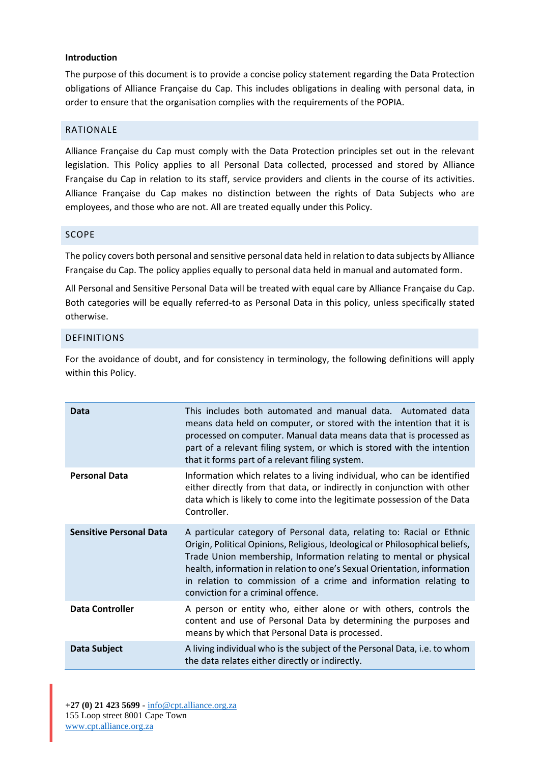## **Introduction**

The purpose of this document is to provide a concise policy statement regarding the Data Protection obligations of Alliance Française du Cap. This includes obligations in dealing with personal data, in order to ensure that the organisation complies with the requirements of the POPIA.

## RATIONALE

Alliance Française du Cap must comply with the Data Protection principles set out in the relevant legislation. This Policy applies to all Personal Data collected, processed and stored by Alliance Française du Cap in relation to its staff, service providers and clients in the course of its activities. Alliance Française du Cap makes no distinction between the rights of Data Subjects who are employees, and those who are not. All are treated equally under this Policy.

### SCOPE

The policy covers both personal and sensitive personal data held in relation to data subjects by Alliance Française du Cap. The policy applies equally to personal data held in manual and automated form.

All Personal and Sensitive Personal Data will be treated with equal care by Alliance Française du Cap. Both categories will be equally referred-to as Personal Data in this policy, unless specifically stated otherwise.

### DEFINITIONS

For the avoidance of doubt, and for consistency in terminology, the following definitions will apply within this Policy.

| Data                           | This includes both automated and manual data. Automated data<br>means data held on computer, or stored with the intention that it is<br>processed on computer. Manual data means data that is processed as<br>part of a relevant filing system, or which is stored with the intention<br>that it forms part of a relevant filing system.                                                                          |
|--------------------------------|-------------------------------------------------------------------------------------------------------------------------------------------------------------------------------------------------------------------------------------------------------------------------------------------------------------------------------------------------------------------------------------------------------------------|
| <b>Personal Data</b>           | Information which relates to a living individual, who can be identified<br>either directly from that data, or indirectly in conjunction with other<br>data which is likely to come into the legitimate possession of the Data<br>Controller.                                                                                                                                                                      |
| <b>Sensitive Personal Data</b> | A particular category of Personal data, relating to: Racial or Ethnic<br>Origin, Political Opinions, Religious, Ideological or Philosophical beliefs,<br>Trade Union membership, Information relating to mental or physical<br>health, information in relation to one's Sexual Orientation, information<br>in relation to commission of a crime and information relating to<br>conviction for a criminal offence. |
| <b>Data Controller</b>         | A person or entity who, either alone or with others, controls the<br>content and use of Personal Data by determining the purposes and<br>means by which that Personal Data is processed.                                                                                                                                                                                                                          |
| <b>Data Subject</b>            | A living individual who is the subject of the Personal Data, i.e. to whom<br>the data relates either directly or indirectly.                                                                                                                                                                                                                                                                                      |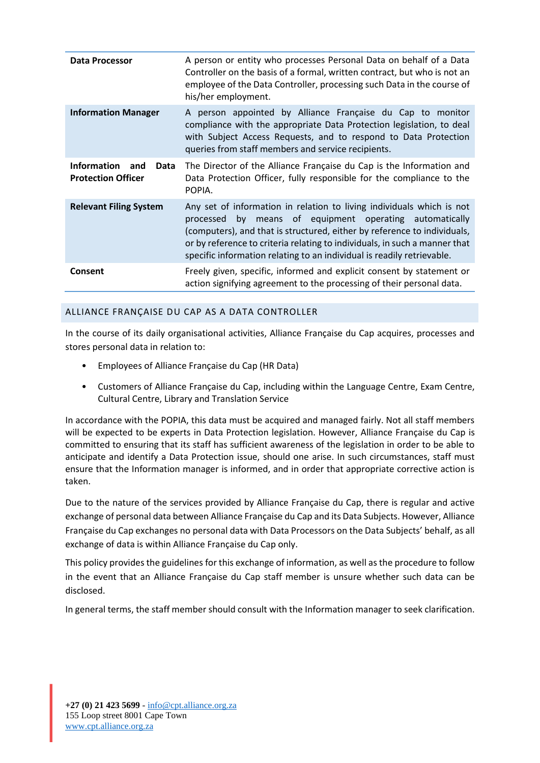| Data Processor                                                 | A person or entity who processes Personal Data on behalf of a Data<br>Controller on the basis of a formal, written contract, but who is not an<br>employee of the Data Controller, processing such Data in the course of<br>his/her employment.                                                                                                                            |
|----------------------------------------------------------------|----------------------------------------------------------------------------------------------------------------------------------------------------------------------------------------------------------------------------------------------------------------------------------------------------------------------------------------------------------------------------|
| <b>Information Manager</b>                                     | A person appointed by Alliance Française du Cap to monitor<br>compliance with the appropriate Data Protection legislation, to deal<br>with Subject Access Requests, and to respond to Data Protection<br>queries from staff members and service recipients.                                                                                                                |
| <b>Information</b><br>and<br>Data<br><b>Protection Officer</b> | The Director of the Alliance Française du Cap is the Information and<br>Data Protection Officer, fully responsible for the compliance to the<br>POPIA.                                                                                                                                                                                                                     |
| <b>Relevant Filing System</b>                                  | Any set of information in relation to living individuals which is not<br>means of equipment operating automatically<br>by<br>processed<br>(computers), and that is structured, either by reference to individuals,<br>or by reference to criteria relating to individuals, in such a manner that<br>specific information relating to an individual is readily retrievable. |
| Consent                                                        | Freely given, specific, informed and explicit consent by statement or<br>action signifying agreement to the processing of their personal data.                                                                                                                                                                                                                             |

## ALLIANCE FRANÇAISE DU CAP AS A DATA CONTROLLER

In the course of its daily organisational activities, Alliance Française du Cap acquires, processes and stores personal data in relation to:

- Employees of Alliance Française du Cap (HR Data)
- Customers of Alliance Française du Cap, including within the Language Centre, Exam Centre, Cultural Centre, Library and Translation Service

In accordance with the POPIA, this data must be acquired and managed fairly. Not all staff members will be expected to be experts in Data Protection legislation. However, Alliance Française du Cap is committed to ensuring that its staff has sufficient awareness of the legislation in order to be able to anticipate and identify a Data Protection issue, should one arise. In such circumstances, staff must ensure that the Information manager is informed, and in order that appropriate corrective action is taken.

Due to the nature of the services provided by Alliance Française du Cap, there is regular and active exchange of personal data between Alliance Française du Cap and its Data Subjects. However, Alliance Française du Cap exchanges no personal data with Data Processors on the Data Subjects' behalf, as all exchange of data is within Alliance Française du Cap only.

This policy provides the guidelines for this exchange of information, as well as the procedure to follow in the event that an Alliance Française du Cap staff member is unsure whether such data can be disclosed.

In general terms, the staff member should consult with the Information manager to seek clarification.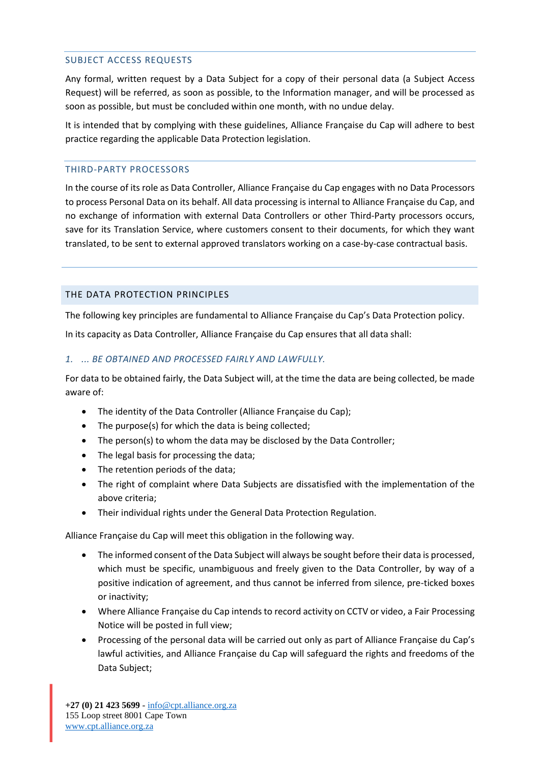## SUBJECT ACCESS REQUESTS

Any formal, written request by a Data Subject for a copy of their personal data (a Subject Access Request) will be referred, as soon as possible, to the Information manager, and will be processed as soon as possible, but must be concluded within one month, with no undue delay.

It is intended that by complying with these guidelines, Alliance Française du Cap will adhere to best practice regarding the applicable Data Protection legislation.

## THIRD-PARTY PROCESSORS

In the course of its role as Data Controller, Alliance Française du Cap engages with no Data Processors to process Personal Data on its behalf. All data processing is internal to Alliance Française du Cap, and no exchange of information with external Data Controllers or other Third-Party processors occurs, save for its Translation Service, where customers consent to their documents, for which they want translated, to be sent to external approved translators working on a case-by-case contractual basis.

## THE DATA PROTECTION PRINCIPLES

The following key principles are fundamental to Alliance Française du Cap's Data Protection policy.

In its capacity as Data Controller, Alliance Française du Cap ensures that all data shall:

## *1. ... BE OBTAINED AND PROCESSED FAIRLY AND LAWFULLY.*

For data to be obtained fairly, the Data Subject will, at the time the data are being collected, be made aware of:

- The identity of the Data Controller (Alliance Française du Cap);
- The purpose(s) for which the data is being collected;
- The person(s) to whom the data may be disclosed by the Data Controller;
- The legal basis for processing the data;
- The retention periods of the data;
- The right of complaint where Data Subjects are dissatisfied with the implementation of the above criteria;
- Their individual rights under the General Data Protection Regulation.

Alliance Française du Cap will meet this obligation in the following way.

- The informed consent of the Data Subject will always be sought before their data is processed, which must be specific, unambiguous and freely given to the Data Controller, by way of a positive indication of agreement, and thus cannot be inferred from silence, pre-ticked boxes or inactivity;
- Where Alliance Française du Cap intends to record activity on CCTV or video, a Fair Processing Notice will be posted in full view;
- Processing of the personal data will be carried out only as part of Alliance Française du Cap's lawful activities, and Alliance Française du Cap will safeguard the rights and freedoms of the Data Subject;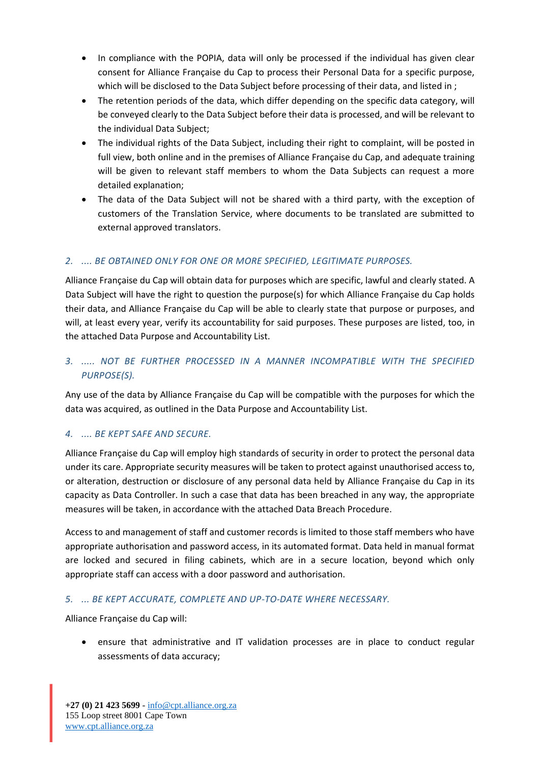- In compliance with the POPIA, data will only be processed if the individual has given clear consent for Alliance Française du Cap to process their Personal Data for a specific purpose, which will be disclosed to the Data Subject before processing of their data, and listed in ;
- The retention periods of the data, which differ depending on the specific data category, will be conveyed clearly to the Data Subject before their data is processed, and will be relevant to the individual Data Subject;
- The individual rights of the Data Subject, including their right to complaint, will be posted in full view, both online and in the premises of Alliance Française du Cap, and adequate training will be given to relevant staff members to whom the Data Subjects can request a more detailed explanation;
- The data of the Data Subject will not be shared with a third party, with the exception of customers of the Translation Service, where documents to be translated are submitted to external approved translators.

# *2. .... BE OBTAINED ONLY FOR ONE OR MORE SPECIFIED, LEGITIMATE PURPOSES.*

Alliance Française du Cap will obtain data for purposes which are specific, lawful and clearly stated. A Data Subject will have the right to question the purpose(s) for which Alliance Française du Cap holds their data, and Alliance Française du Cap will be able to clearly state that purpose or purposes, and will, at least every year, verify its accountability for said purposes. These purposes are listed, too, in the attached Data Purpose and Accountability List.

# *3. ..... NOT BE FURTHER PROCESSED IN A MANNER INCOMPATIBLE WITH THE SPECIFIED PURPOSE(S).*

Any use of the data by Alliance Française du Cap will be compatible with the purposes for which the data was acquired, as outlined in the Data Purpose and Accountability List.

# *4. .... BE KEPT SAFE AND SECURE.*

Alliance Française du Cap will employ high standards of security in order to protect the personal data under its care. Appropriate security measures will be taken to protect against unauthorised access to, or alteration, destruction or disclosure of any personal data held by Alliance Française du Cap in its capacity as Data Controller. In such a case that data has been breached in any way, the appropriate measures will be taken, in accordance with the attached Data Breach Procedure.

Access to and management of staff and customer records is limited to those staff members who have appropriate authorisation and password access, in its automated format. Data held in manual format are locked and secured in filing cabinets, which are in a secure location, beyond which only appropriate staff can access with a door password and authorisation.

## *5. ... BE KEPT ACCURATE, COMPLETE AND UP-TO-DATE WHERE NECESSARY.*

Alliance Française du Cap will:

• ensure that administrative and IT validation processes are in place to conduct regular assessments of data accuracy;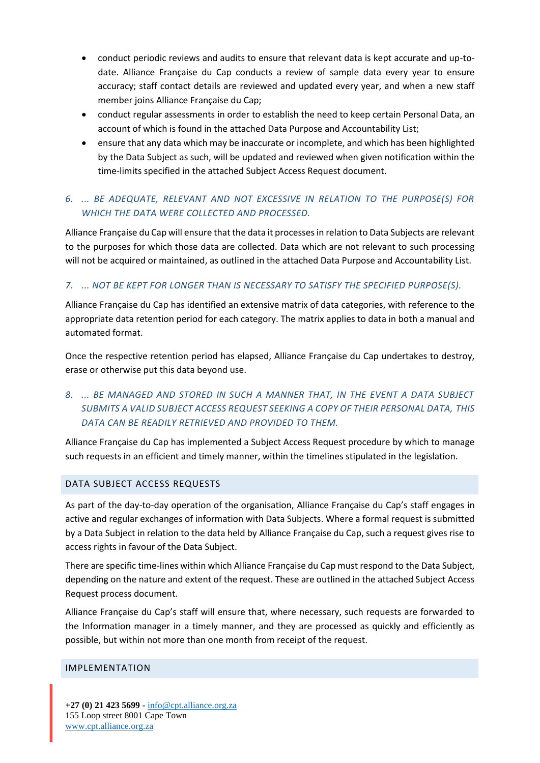- conduct periodic reviews and audits to ensure that relevant data is kept accurate and up-todate. Alliance Française du Cap conducts a review of sample data every year to ensure accuracy; staff contact details are reviewed and updated every year, and when a new staff member joins Alliance Française du Cap;
- conduct regular assessments in order to establish the need to keep certain Personal Data, an account of which is found in the attached Data Purpose and Accountability List;
- ensure that any data which may be inaccurate or incomplete, and which has been highlighted by the Data Subject as such, will be updated and reviewed when given notification within the time-limits specified in the attached Subject Access Request document.

# *6. ... BE ADEQUATE, RELEVANT AND NOT EXCESSIVE IN RELATION TO THE PURPOSE(S) FOR WHICH THE DATA WERE COLLECTED AND PROCESSED.*

Alliance Française du Cap will ensure that the data it processes in relation to Data Subjects are relevant to the purposes for which those data are collected. Data which are not relevant to such processing will not be acquired or maintained, as outlined in the attached Data Purpose and Accountability List.

## *7. ... NOT BE KEPT FOR LONGER THAN IS NECESSARY TO SATISFY THE SPECIFIED PURPOSE(S).*

Alliance Française du Cap has identified an extensive matrix of data categories, with reference to the appropriate data retention period for each category. The matrix applies to data in both a manual and automated format.

Once the respective retention period has elapsed, Alliance Française du Cap undertakes to destroy, erase or otherwise put this data beyond use.

# *8. ... BE MANAGED AND STORED IN SUCH A MANNER THAT, IN THE EVENT A DATA SUBJECT SUBMITS A VALID SUBJECT ACCESS REQUEST SEEKING A COPY OF THEIR PERSONAL DATA, THIS DATA CAN BE READILY RETRIEVED AND PROVIDED TO THEM.*

Alliance Française du Cap has implemented a Subject Access Request procedure by which to manage such requests in an efficient and timely manner, within the timelines stipulated in the legislation.

### DATA SUBJECT ACCESS REQUESTS

As part of the day-to-day operation of the organisation, Alliance Française du Cap's staff engages in active and regular exchanges of information with Data Subjects. Where a formal request is submitted by a Data Subject in relation to the data held by Alliance Française du Cap, such a request gives rise to access rights in favour of the Data Subject.

There are specific time-lines within which Alliance Française du Cap must respond to the Data Subject, depending on the nature and extent of the request. These are outlined in the attached Subject Access Request process document.

Alliance Française du Cap's staff will ensure that, where necessary, such requests are forwarded to the Information manager in a timely manner, and they are processed as quickly and efficiently as possible, but within not more than one month from receipt of the request.

### IMPLEMENTATION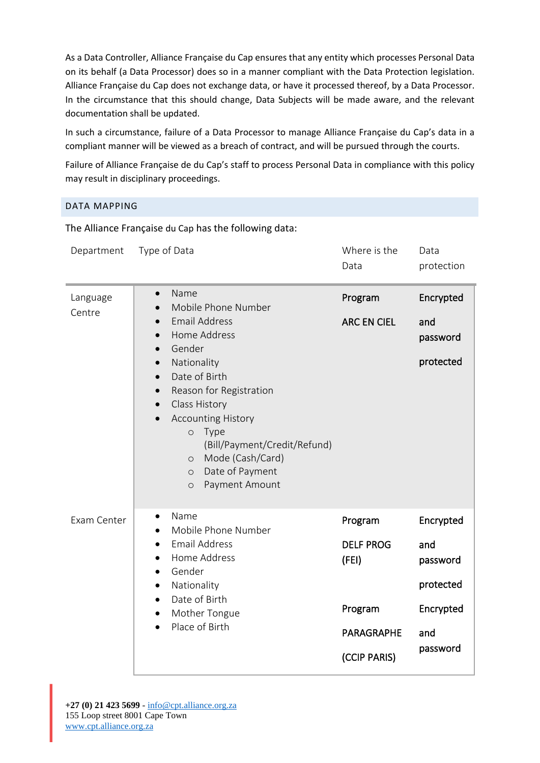As a Data Controller, Alliance Française du Cap ensures that any entity which processes Personal Data on its behalf (a Data Processor) does so in a manner compliant with the Data Protection legislation. Alliance Française du Cap does not exchange data, or have it processed thereof, by a Data Processor. In the circumstance that this should change, Data Subjects will be made aware, and the relevant documentation shall be updated.

In such a circumstance, failure of a Data Processor to manage Alliance Française du Cap's data in a compliant manner will be viewed as a breach of contract, and will be pursued through the courts.

Failure of Alliance Française de du Cap's staff to process Personal Data in compliance with this policy may result in disciplinary proceedings.

## DATA MAPPING

The Alliance Française du Cap has the following data:

| Department         | Type of Data                                                                                                                                                                                                                                                                                                                                                                                                      | Where is the<br>Data                                                                 | Data<br>protection                                                        |
|--------------------|-------------------------------------------------------------------------------------------------------------------------------------------------------------------------------------------------------------------------------------------------------------------------------------------------------------------------------------------------------------------------------------------------------------------|--------------------------------------------------------------------------------------|---------------------------------------------------------------------------|
| Language<br>Centre | Name<br>$\bullet$<br>Mobile Phone Number<br><b>Email Address</b><br>Home Address<br>$\bullet$<br>Gender<br>$\bullet$<br>Nationality<br>$\bullet$<br>Date of Birth<br>$\bullet$<br>Reason for Registration<br>$\bullet$<br>Class History<br><b>Accounting History</b><br>Type<br>$\circ$<br>(Bill/Payment/Credit/Refund)<br>Mode (Cash/Card)<br>$\circ$<br>Date of Payment<br>$\circ$<br>Payment Amount<br>$\circ$ | Program<br><b>ARC EN CIEL</b>                                                        | Encrypted<br>and<br>password<br>protected                                 |
| Exam Center        | Name<br>$\bullet$<br>Mobile Phone Number<br><b>Email Address</b><br>٠<br>Home Address<br>Gender<br>$\bullet$<br>Nationality<br>$\bullet$<br>Date of Birth<br>$\bullet$<br>Mother Tongue<br>$\bullet$<br>Place of Birth                                                                                                                                                                                            | Program<br><b>DELF PROG</b><br>(FEI)<br>Program<br><b>PARAGRAPHE</b><br>(CCIP PARIS) | Encrypted<br>and<br>password<br>protected<br>Encrypted<br>and<br>password |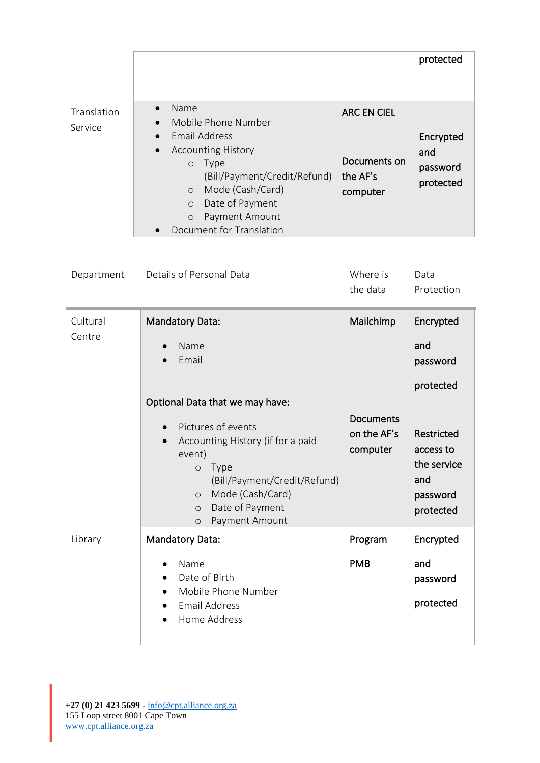|                        |                                                                                                                                                                                                                                                                               |                                                            | protected                                                              |
|------------------------|-------------------------------------------------------------------------------------------------------------------------------------------------------------------------------------------------------------------------------------------------------------------------------|------------------------------------------------------------|------------------------------------------------------------------------|
| Translation<br>Service | Name<br>$\bullet$<br>Mobile Phone Number<br><b>Email Address</b><br><b>Accounting History</b><br><b>Type</b><br>$\circ$<br>(Bill/Payment/Credit/Refund)<br>Mode (Cash/Card)<br>$\circ$<br>Date of Payment<br>$\circ$<br>Payment Amount<br>$\circ$<br>Document for Translation | <b>ARC EN CIEL</b><br>Documents on<br>the AF's<br>computer | Encrypted<br>and<br>password<br>protected                              |
| Department             | Details of Personal Data                                                                                                                                                                                                                                                      | Where is<br>the data                                       | Data<br>Protection                                                     |
| Cultural<br>Centre     | <b>Mandatory Data:</b><br>Name<br>Email                                                                                                                                                                                                                                       | Mailchimp                                                  | Encrypted<br>and<br>password<br>protected                              |
|                        | Optional Data that we may have:<br>Pictures of events<br>Accounting History (if for a paid<br>event)<br><b>Type</b><br>$\circ$<br>(Bill/Payment/Credit/Refund)<br>Mode (Cash/Card)<br>$\circ$<br>Date of Payment<br>$\circ$<br>Payment Amount<br>$\circ$                      | <b>Documents</b><br>on the AF's<br>computer                | Restricted<br>access to<br>the service<br>and<br>password<br>protected |
| Library                | <b>Mandatory Data:</b><br>Name<br>Date of Birth                                                                                                                                                                                                                               | Program<br><b>PMB</b>                                      | Encrypted<br>and<br>password                                           |
|                        | Mobile Phone Number<br><b>Email Address</b><br>Home Address                                                                                                                                                                                                                   |                                                            | protected                                                              |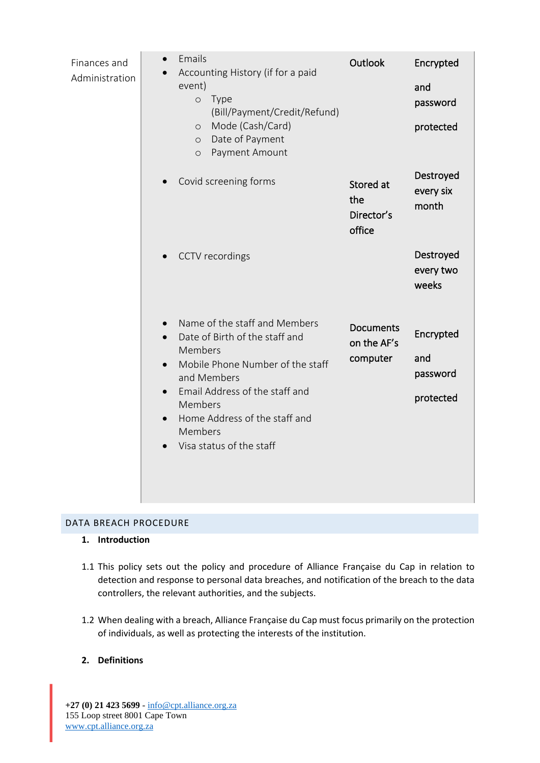| Finances and<br>Administration | Emails<br>Accounting History (if for a paid<br>event)<br>Type<br>$\circ$<br>(Bill/Payment/Credit/Refund)<br>Mode (Cash/Card)<br>$\circ$<br>Date of Payment<br>$\circ$<br>Payment Amount<br>$\circ$                                                              | Outlook                                     | Encrypted<br>and<br>password<br>protected |
|--------------------------------|-----------------------------------------------------------------------------------------------------------------------------------------------------------------------------------------------------------------------------------------------------------------|---------------------------------------------|-------------------------------------------|
|                                | Covid screening forms                                                                                                                                                                                                                                           | Stored at<br>the<br>Director's<br>office    | Destroyed<br>every six<br>month           |
|                                | CCTV recordings                                                                                                                                                                                                                                                 |                                             | Destroyed<br>every two<br>weeks           |
|                                | Name of the staff and Members<br>Date of Birth of the staff and<br>Members<br>Mobile Phone Number of the staff<br>$\bullet$<br>and Members<br>Email Address of the staff and<br>Members<br>Home Address of the staff and<br>Members<br>Visa status of the staff | <b>Documents</b><br>on the AF's<br>computer | Encrypted<br>and<br>password<br>protected |

## DATA BREACH PROCEDURE

## **1. Introduction**

- 1.1 This policy sets out the policy and procedure of Alliance Française du Cap in relation to detection and response to personal data breaches, and notification of the breach to the data controllers, the relevant authorities, and the subjects.
- 1.2 When dealing with a breach, Alliance Française du Cap must focus primarily on the protection of individuals, as well as protecting the interests of the institution.

## **2. Definitions**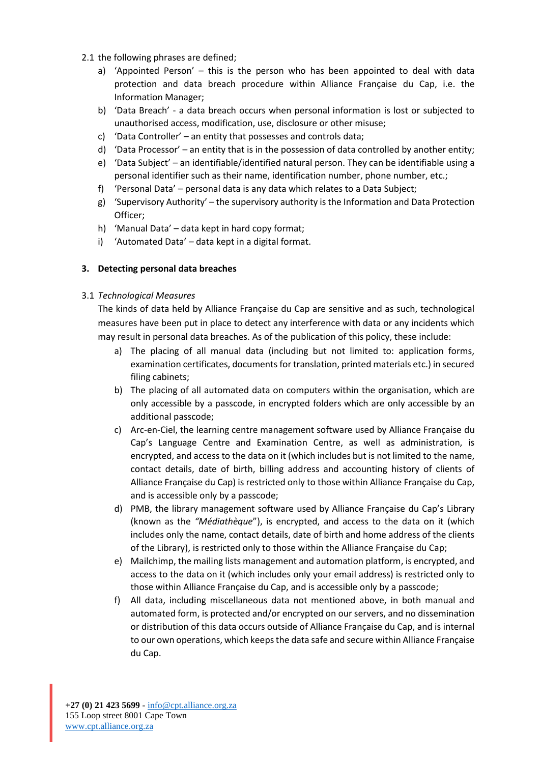- 2.1 the following phrases are defined;
	- a) 'Appointed Person' this is the person who has been appointed to deal with data protection and data breach procedure within Alliance Française du Cap, i.e. the Information Manager;
	- b) 'Data Breach' a data breach occurs when personal information is lost or subjected to unauthorised access, modification, use, disclosure or other misuse;
	- c) 'Data Controller' an entity that possesses and controls data;
	- d) 'Data Processor' an entity that is in the possession of data controlled by another entity;
	- e) 'Data Subject' an identifiable/identified natural person. They can be identifiable using a personal identifier such as their name, identification number, phone number, etc.;
	- f) 'Personal Data' personal data is any data which relates to a Data Subject;
	- g) 'Supervisory Authority' the supervisory authority is the Information and Data Protection Officer;
	- h) 'Manual Data' data kept in hard copy format;
	- i) 'Automated Data' data kept in a digital format.

## **3. Detecting personal data breaches**

## 3.1 *Technological Measures*

The kinds of data held by Alliance Française du Cap are sensitive and as such, technological measures have been put in place to detect any interference with data or any incidents which may result in personal data breaches. As of the publication of this policy, these include:

- a) The placing of all manual data (including but not limited to: application forms, examination certificates, documents for translation, printed materials etc.) in secured filing cabinets;
- b) The placing of all automated data on computers within the organisation, which are only accessible by a passcode, in encrypted folders which are only accessible by an additional passcode;
- c) Arc-en-Ciel, the learning centre management software used by Alliance Française du Cap's Language Centre and Examination Centre, as well as administration, is encrypted, and access to the data on it (which includes but is not limited to the name, contact details, date of birth, billing address and accounting history of clients of Alliance Française du Cap) is restricted only to those within Alliance Française du Cap, and is accessible only by a passcode;
- d) PMB, the library management software used by Alliance Française du Cap's Library (known as the *"Médiathèque*"), is encrypted, and access to the data on it (which includes only the name, contact details, date of birth and home address of the clients of the Library), is restricted only to those within the Alliance Française du Cap;
- e) Mailchimp, the mailing lists management and automation platform, is encrypted, and access to the data on it (which includes only your email address) is restricted only to those within Alliance Française du Cap, and is accessible only by a passcode;
- f) All data, including miscellaneous data not mentioned above, in both manual and automated form, is protected and/or encrypted on our servers, and no dissemination or distribution of this data occurs outside of Alliance Française du Cap, and is internal to our own operations, which keeps the data safe and secure within Alliance Française du Cap.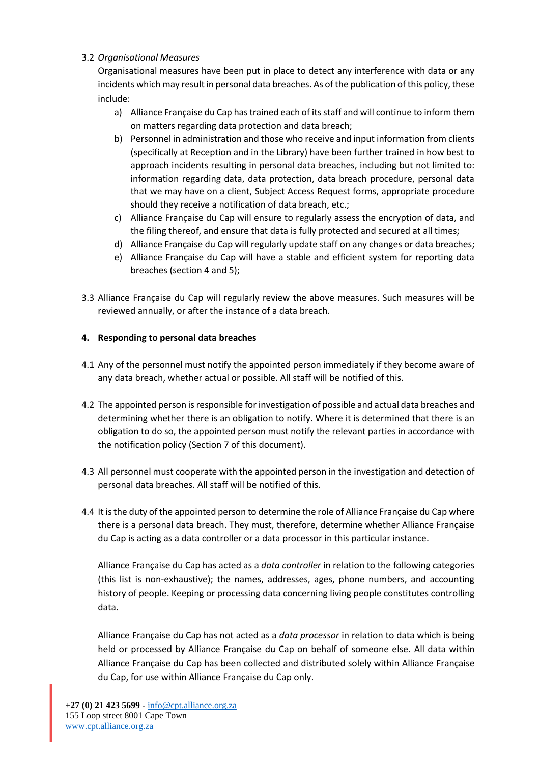## 3.2 *Organisational Measures*

Organisational measures have been put in place to detect any interference with data or any incidents which may result in personal data breaches. As of the publication of this policy, these include:

- a) Alliance Française du Cap has trained each of its staff and will continue to inform them on matters regarding data protection and data breach;
- b) Personnel in administration and those who receive and input information from clients (specifically at Reception and in the Library) have been further trained in how best to approach incidents resulting in personal data breaches, including but not limited to: information regarding data, data protection, data breach procedure, personal data that we may have on a client, Subject Access Request forms, appropriate procedure should they receive a notification of data breach, etc.;
- c) Alliance Française du Cap will ensure to regularly assess the encryption of data, and the filing thereof, and ensure that data is fully protected and secured at all times;
- d) Alliance Française du Cap will regularly update staff on any changes or data breaches;
- e) Alliance Française du Cap will have a stable and efficient system for reporting data breaches (section 4 and 5);
- 3.3 Alliance Française du Cap will regularly review the above measures. Such measures will be reviewed annually, or after the instance of a data breach.

## **4. Responding to personal data breaches**

- 4.1 Any of the personnel must notify the appointed person immediately if they become aware of any data breach, whether actual or possible. All staff will be notified of this.
- 4.2 The appointed person is responsible for investigation of possible and actual data breaches and determining whether there is an obligation to notify. Where it is determined that there is an obligation to do so, the appointed person must notify the relevant parties in accordance with the notification policy (Section 7 of this document).
- 4.3 All personnel must cooperate with the appointed person in the investigation and detection of personal data breaches. All staff will be notified of this.
- 4.4 It is the duty of the appointed person to determine the role of Alliance Française du Cap where there is a personal data breach. They must, therefore, determine whether Alliance Française du Cap is acting as a data controller or a data processor in this particular instance.

Alliance Française du Cap has acted as a *data controller* in relation to the following categories (this list is non-exhaustive); the names, addresses, ages, phone numbers, and accounting history of people. Keeping or processing data concerning living people constitutes controlling data.

Alliance Française du Cap has not acted as a *data processor* in relation to data which is being held or processed by Alliance Française du Cap on behalf of someone else. All data within Alliance Française du Cap has been collected and distributed solely within Alliance Française du Cap, for use within Alliance Française du Cap only.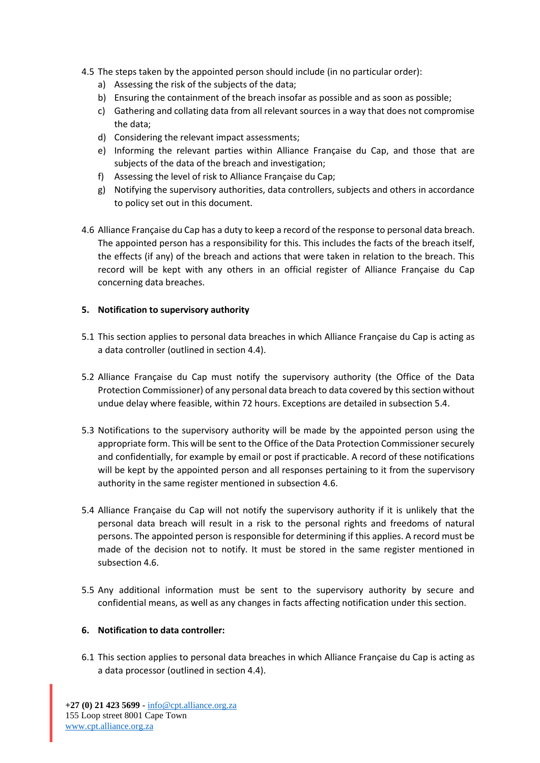- 4.5 The steps taken by the appointed person should include (in no particular order):
	- a) Assessing the risk of the subjects of the data;
	- b) Ensuring the containment of the breach insofar as possible and as soon as possible;
	- c) Gathering and collating data from all relevant sources in a way that does not compromise the data;
	- d) Considering the relevant impact assessments;
	- e) Informing the relevant parties within Alliance Française du Cap, and those that are subjects of the data of the breach and investigation;
	- f) Assessing the level of risk to Alliance Française du Cap;
	- g) Notifying the supervisory authorities, data controllers, subjects and others in accordance to policy set out in this document.
- 4.6 Alliance Française du Cap has a duty to keep a record of the response to personal data breach. The appointed person has a responsibility for this. This includes the facts of the breach itself, the effects (if any) of the breach and actions that were taken in relation to the breach. This record will be kept with any others in an official register of Alliance Française du Cap concerning data breaches.

## **5. Notification to supervisory authority**

- 5.1 This section applies to personal data breaches in which Alliance Française du Cap is acting as a data controller (outlined in section 4.4).
- 5.2 Alliance Française du Cap must notify the supervisory authority (the Office of the Data Protection Commissioner) of any personal data breach to data covered by this section without undue delay where feasible, within 72 hours. Exceptions are detailed in subsection 5.4.
- 5.3 Notifications to the supervisory authority will be made by the appointed person using the appropriate form. This will be sent to the Office of the Data Protection Commissioner securely and confidentially, for example by email or post if practicable. A record of these notifications will be kept by the appointed person and all responses pertaining to it from the supervisory authority in the same register mentioned in subsection 4.6.
- 5.4 Alliance Française du Cap will not notify the supervisory authority if it is unlikely that the personal data breach will result in a risk to the personal rights and freedoms of natural persons. The appointed person is responsible for determining if this applies. A record must be made of the decision not to notify. It must be stored in the same register mentioned in subsection 4.6.
- 5.5 Any additional information must be sent to the supervisory authority by secure and confidential means, as well as any changes in facts affecting notification under this section.

## **6. Notification to data controller:**

6.1 This section applies to personal data breaches in which Alliance Française du Cap is acting as a data processor (outlined in section 4.4).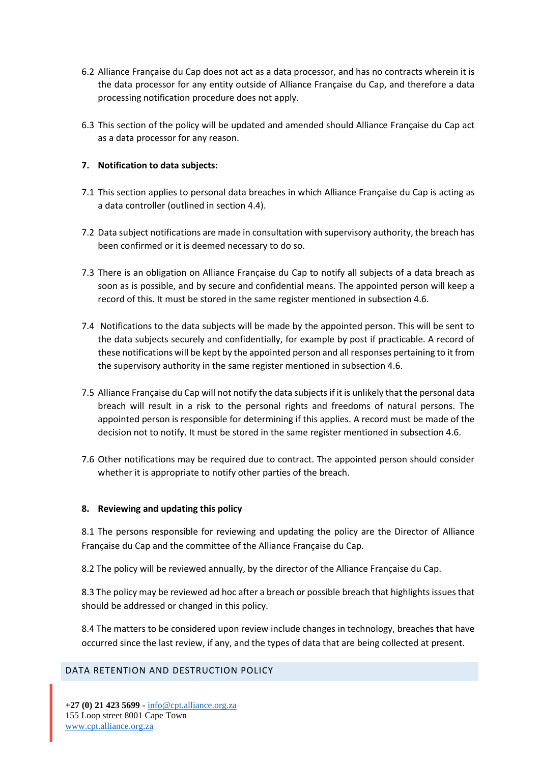- 6.2 Alliance Française du Cap does not act as a data processor, and has no contracts wherein it is the data processor for any entity outside of Alliance Française du Cap, and therefore a data processing notification procedure does not apply.
- 6.3 This section of the policy will be updated and amended should Alliance Française du Cap act as a data processor for any reason.

## **7. Notification to data subjects:**

- 7.1 This section applies to personal data breaches in which Alliance Française du Cap is acting as a data controller (outlined in section 4.4).
- 7.2 Data subject notifications are made in consultation with supervisory authority, the breach has been confirmed or it is deemed necessary to do so.
- 7.3 There is an obligation on Alliance Française du Cap to notify all subjects of a data breach as soon as is possible, and by secure and confidential means. The appointed person will keep a record of this. It must be stored in the same register mentioned in subsection 4.6.
- 7.4 Notifications to the data subjects will be made by the appointed person. This will be sent to the data subjects securely and confidentially, for example by post if practicable. A record of these notifications will be kept by the appointed person and all responses pertaining to it from the supervisory authority in the same register mentioned in subsection 4.6.
- 7.5 Alliance Française du Cap will not notify the data subjects if it is unlikely that the personal data breach will result in a risk to the personal rights and freedoms of natural persons. The appointed person is responsible for determining if this applies. A record must be made of the decision not to notify. It must be stored in the same register mentioned in subsection 4.6.
- 7.6 Other notifications may be required due to contract. The appointed person should consider whether it is appropriate to notify other parties of the breach.

### **8. Reviewing and updating this policy**

8.1 The persons responsible for reviewing and updating the policy are the Director of Alliance Française du Cap and the committee of the Alliance Française du Cap.

8.2 The policy will be reviewed annually, by the director of the Alliance Française du Cap.

8.3 The policy may be reviewed ad hoc after a breach or possible breach that highlights issues that should be addressed or changed in this policy.

8.4 The matters to be considered upon review include changes in technology, breaches that have occurred since the last review, if any, and the types of data that are being collected at present.

## DATA RETENTION AND DESTRUCTION POLICY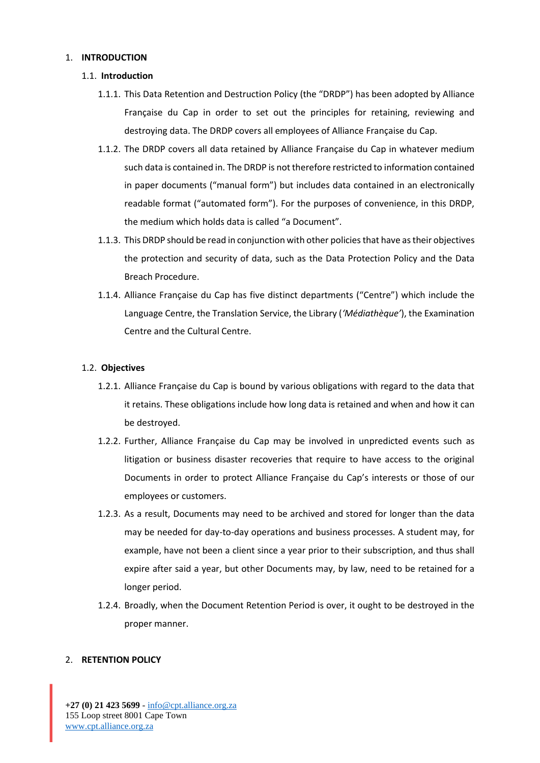#### 1. **INTRODUCTION**

#### 1.1. **Introduction**

- 1.1.1. This Data Retention and Destruction Policy (the "DRDP") has been adopted by Alliance Française du Cap in order to set out the principles for retaining, reviewing and destroying data. The DRDP covers all employees of Alliance Française du Cap.
- 1.1.2. The DRDP covers all data retained by Alliance Française du Cap in whatever medium such data is contained in. The DRDP is not therefore restricted to information contained in paper documents ("manual form") but includes data contained in an electronically readable format ("automated form"). For the purposes of convenience, in this DRDP, the medium which holds data is called "a Document".
- 1.1.3. This DRDP should be read in conjunction with other policies that have as their objectives the protection and security of data, such as the Data Protection Policy and the Data Breach Procedure.
- 1.1.4. Alliance Française du Cap has five distinct departments ("Centre") which include the Language Centre, the Translation Service, the Library (*'Médiathèque'*), the Examination Centre and the Cultural Centre.

### 1.2. **Objectives**

- 1.2.1. Alliance Française du Cap is bound by various obligations with regard to the data that it retains. These obligations include how long data is retained and when and how it can be destroyed.
- 1.2.2. Further, Alliance Française du Cap may be involved in unpredicted events such as litigation or business disaster recoveries that require to have access to the original Documents in order to protect Alliance Française du Cap's interests or those of our employees or customers.
- 1.2.3. As a result, Documents may need to be archived and stored for longer than the data may be needed for day-to-day operations and business processes. A student may, for example, have not been a client since a year prior to their subscription, and thus shall expire after said a year, but other Documents may, by law, need to be retained for a longer period.
- 1.2.4. Broadly, when the Document Retention Period is over, it ought to be destroyed in the proper manner.

### 2. **RETENTION POLICY**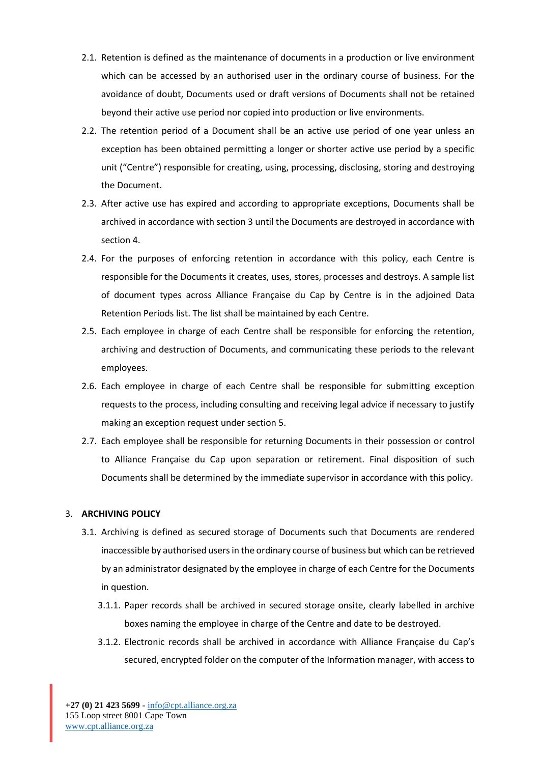- 2.1. Retention is defined as the maintenance of documents in a production or live environment which can be accessed by an authorised user in the ordinary course of business. For the avoidance of doubt, Documents used or draft versions of Documents shall not be retained beyond their active use period nor copied into production or live environments.
- 2.2. The retention period of a Document shall be an active use period of one year unless an exception has been obtained permitting a longer or shorter active use period by a specific unit ("Centre") responsible for creating, using, processing, disclosing, storing and destroying the Document.
- 2.3. After active use has expired and according to appropriate exceptions, Documents shall be archived in accordance with section 3 until the Documents are destroyed in accordance with section 4.
- 2.4. For the purposes of enforcing retention in accordance with this policy, each Centre is responsible for the Documents it creates, uses, stores, processes and destroys. A sample list of document types across Alliance Française du Cap by Centre is in the adjoined Data Retention Periods list. The list shall be maintained by each Centre.
- 2.5. Each employee in charge of each Centre shall be responsible for enforcing the retention, archiving and destruction of Documents, and communicating these periods to the relevant employees.
- 2.6. Each employee in charge of each Centre shall be responsible for submitting exception requests to the process, including consulting and receiving legal advice if necessary to justify making an exception request under section 5.
- 2.7. Each employee shall be responsible for returning Documents in their possession or control to Alliance Française du Cap upon separation or retirement. Final disposition of such Documents shall be determined by the immediate supervisor in accordance with this policy.

### 3. **ARCHIVING POLICY**

- 3.1. Archiving is defined as secured storage of Documents such that Documents are rendered inaccessible by authorised users in the ordinary course of business but which can be retrieved by an administrator designated by the employee in charge of each Centre for the Documents in question.
	- 3.1.1. Paper records shall be archived in secured storage onsite, clearly labelled in archive boxes naming the employee in charge of the Centre and date to be destroyed.
	- 3.1.2. Electronic records shall be archived in accordance with Alliance Française du Cap's secured, encrypted folder on the computer of the Information manager, with access to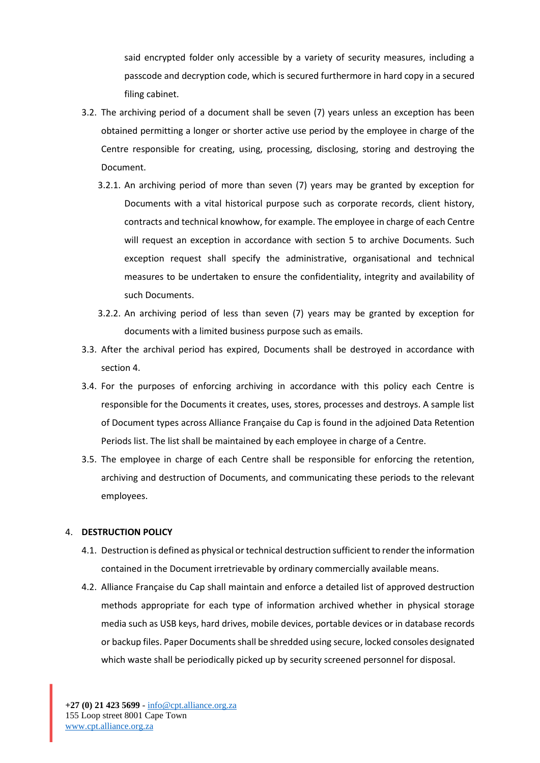said encrypted folder only accessible by a variety of security measures, including a passcode and decryption code, which is secured furthermore in hard copy in a secured filing cabinet.

- 3.2. The archiving period of a document shall be seven (7) years unless an exception has been obtained permitting a longer or shorter active use period by the employee in charge of the Centre responsible for creating, using, processing, disclosing, storing and destroying the Document.
	- 3.2.1. An archiving period of more than seven (7) years may be granted by exception for Documents with a vital historical purpose such as corporate records, client history, contracts and technical knowhow, for example. The employee in charge of each Centre will request an exception in accordance with section 5 to archive Documents. Such exception request shall specify the administrative, organisational and technical measures to be undertaken to ensure the confidentiality, integrity and availability of such Documents.
	- 3.2.2. An archiving period of less than seven (7) years may be granted by exception for documents with a limited business purpose such as emails.
- 3.3. After the archival period has expired, Documents shall be destroyed in accordance with section 4.
- 3.4. For the purposes of enforcing archiving in accordance with this policy each Centre is responsible for the Documents it creates, uses, stores, processes and destroys. A sample list of Document types across Alliance Française du Cap is found in the adjoined Data Retention Periods list. The list shall be maintained by each employee in charge of a Centre.
- 3.5. The employee in charge of each Centre shall be responsible for enforcing the retention, archiving and destruction of Documents, and communicating these periods to the relevant employees.

### 4. **DESTRUCTION POLICY**

- 4.1. Destruction is defined as physical or technical destruction sufficient to render the information contained in the Document irretrievable by ordinary commercially available means.
- 4.2. Alliance Française du Cap shall maintain and enforce a detailed list of approved destruction methods appropriate for each type of information archived whether in physical storage media such as USB keys, hard drives, mobile devices, portable devices or in database records or backup files. Paper Documents shall be shredded using secure, locked consoles designated which waste shall be periodically picked up by security screened personnel for disposal.